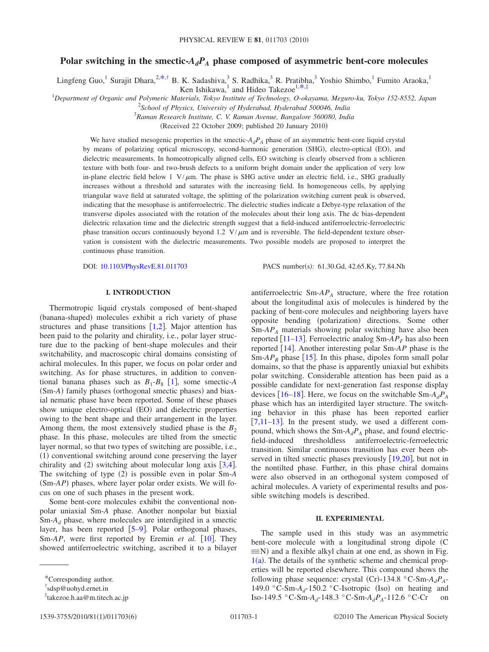# Polar switching in the smectic- $A_dP_A$  phase composed of asymmetric bent-core molecules

Lingfeng Guo,<sup>1</sup> Surajit Dhara,<sup>2[,\\*](#page-0-0)[,†](#page-0-1)</sup> B. K. Sadashiva,<sup>3</sup> S. Radhika,<sup>3</sup> R. Pratibha,<sup>3</sup> Yoshio Shimbo,<sup>1</sup> Fumito Araoka,<sup>1</sup>

Ken Ishikawa,<sup>1</sup> and Hideo Takezoe<sup>1[,\\*,](#page-0-0)[‡](#page-0-2)</sup>

1 *Department of Organic and Polymeric Materials, Tokyo Institute of Technology, O-okayama, Meguro-ku, Tokyo 152-8552, Japan*

2 *School of Physics, University of Hyderabad, Hyderabad 500046, India* 3 *Raman Research Institute, C. V. Raman Avenue, Bangalore 560080, India*

(Received 22 October 2009; published 20 January 2010)

We have studied mesogenic properties in the smectic- $A_dP_A$  phase of an asymmetric bent-core liquid crystal by means of polarizing optical microscopy, second-harmonic generation (SHG), electro-optical (EO), and dielectric measurements. In homeotropically aligned cells, EO switching is clearly observed from a schlieren texture with both four- and two-brush defects to a uniform bright domain under the application of very low in-plane electric field below 1  $V/\mu$ m. The phase is SHG active under an electric field, i.e., SHG gradually increases without a threshold and saturates with the increasing field. In homogeneous cells, by applying triangular wave field at saturated voltage, the splitting of the polarization switching current peak is observed, indicating that the mesophase is antiferroelectric. The dielectric studies indicate a Debye-type relaxation of the transverse dipoles associated with the rotation of the molecules about their long axis. The dc bias-dependent dielectric relaxation time and the dielectric strength suggest that a field-induced antiferroelectric-ferroelectric phase transition occurs continuously beyond 1.2  $V/\mu$ m and is reversible. The field-dependent texture observation is consistent with the dielectric measurements. Two possible models are proposed to interpret the continuous phase transition.

DOI: [10.1103/PhysRevE.81.011703](http://dx.doi.org/10.1103/PhysRevE.81.011703)

PACS number(s): 61.30.Gd, 42.65.Ky, 77.84.Nh

### **I. INTRODUCTION**

Thermotropic liquid crystals composed of bent-shaped (banana-shaped) molecules exhibit a rich variety of phase structures and phase transitions  $[1,2]$  $[1,2]$  $[1,2]$  $[1,2]$ . Major attention has been paid to the polarity and chirality, i.e., polar layer structure due to the packing of bent-shape molecules and their switchability, and macroscopic chiral domains consisting of achiral molecules. In this paper, we focus on polar order and switching. As for phase structures, in addition to conventional banana phases such as  $B_1 - B_8$  $B_1 - B_8$  $B_1 - B_8$  [1], some smectic-*A* (Sm-A) family phases (orthogonal smectic phases) and biaxial nematic phase have been reported. Some of these phases show unique electro-optical (EO) and dielectric properties owing to the bent shape and their arrangement in the layer. Among them, the most extensively studied phase is the  $B_2$ phase. In this phase, molecules are tilted from the smectic layer normal, so that two types of switching are possible, i.e., (1) conventional switching around cone preserving the layer chirality and  $(2)$  switching about molecular long axis [[3,](#page-5-2)[4](#page-5-3)]. The switching of type (2) is possible even in polar Sm-A (Sm-AP) phases, where layer polar order exists. We will focus on one of such phases in the present work.

Some bent-core molecules exhibit the conventional nonpolar uniaxial Sm-*A* phase. Another nonpolar but biaxial Sm-*Ad* phase, where molecules are interdigited in a smectic layer, has been reported  $[5-9]$  $[5-9]$  $[5-9]$ . Polar orthogonal phases, Sm-*AP*, were first reported by Eremin *et al.* [[10](#page-5-6)]. They showed antiferroelectric switching, ascribed it to a bilayer antiferroelectric  $Sm$ - $AP_A$  structure, where the free rotation about the longitudinal axis of molecules is hindered by the packing of bent-core molecules and neighboring layers have opposite bending (polarization) directions. Some other Sm-*APA* materials showing polar switching have also been reported  $\lceil 11-13 \rceil$  $\lceil 11-13 \rceil$  $\lceil 11-13 \rceil$ . Ferroelectric analog Sm- $AP<sub>F</sub>$  has also been reported [[14](#page-5-9)]. Another interesting polar Sm-*AP* phase is the Sm- $AP_R$  phase [[15](#page-5-10)]. In this phase, dipoles form small polar domains, so that the phase is apparently uniaxial but exhibits polar switching. Considerable attention has been paid as a possible candidate for next-generation fast response display devices [[16](#page-5-11)[–18](#page-5-12)]. Here, we focus on the switchable  $Sm-A_dP_A$ phase which has an interdigited layer structure. The switching behavior in this phase has been reported earlier  $[7,11-13]$  $[7,11-13]$  $[7,11-13]$  $[7,11-13]$ . In the present study, we used a different compound, which shows the  $Sm-A_dP_A$  phase, and found electricfield-induced thresholdless antiferroelectric-ferroelectric transition. Similar continuous transition has ever been observed in tilted smectic phases previously  $[19,20]$  $[19,20]$  $[19,20]$  $[19,20]$ , but not in the nontilted phase. Further, in this phase chiral domains were also observed in an orthogonal system composed of achiral molecules. A variety of experimental results and possible switching models is described.

#### **II. EXPERIMENTAL**

The sample used in this study was an asymmetric bent-core molecule with a longitudinal strong dipole C  $\equiv$ N) and a flexible alkyl chain at one end, as shown in Fig.  $1(a)$  $1(a)$ . The details of the synthetic scheme and chemical properties will be reported elsewhere. This compound shows the following phase sequence: crystal (Cr)-134.8 °C-Sm- $A_dP_A$ -149.0 °C-Sm- $A_d$ -150.2 °C-Isotropic (Iso) on heating and Iso-149.5 °C-Sm-*Ad*-148.3 °C-Sm-*AdPA*-112.6 °C-Cr on

<span id="page-0-0"></span><sup>\*</sup>Corresponding author.

<span id="page-0-1"></span><sup>†</sup> sdsp@uohyd.ernet.in

<span id="page-0-2"></span><sup>‡</sup> takezoe.h.aa@m.titech.ac.jp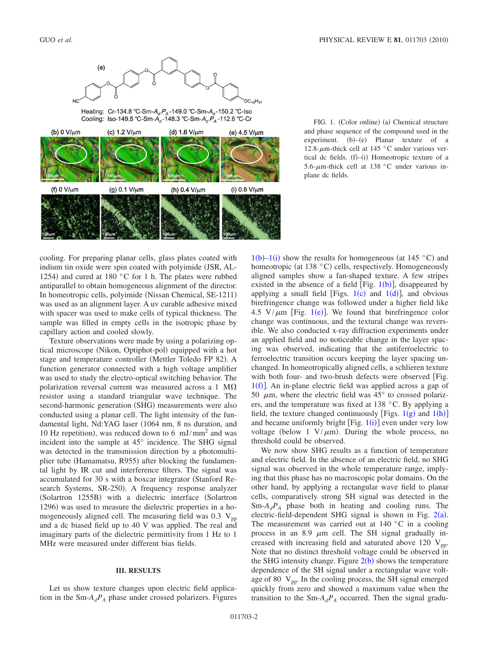<span id="page-1-0"></span>

Heating: Cr-134.8 °C-Sm-A<sub>d</sub> P<sub>A</sub>-149.0 °C-Sm-A<sub>d</sub>-150.2 °C-Iso Cooling: Iso-149.5 °C-Sm-A<sub>d</sub>-148.3 °C-Sm-A<sub>d</sub> P<sub>A</sub>-112.6 °C-Cr



FIG. 1. (Color online) (a) Chemical structure and phase sequence of the compound used in the  $experiment.$  (b)–(e) Planar texture of a 12.8- $\mu$ m-thick cell at 145 °C under various vertical dc fields.  $(f)$ - $(i)$  Homeotropic texture of a 5.6- $\mu$ m-thick cell at 138 °C under various inplane dc fields.

cooling. For preparing planar cells, glass plates coated with indium tin oxide were spin coated with polyimide (JSR, AL-1254) and cured at 180  $^{\circ}$ C for 1 h. The plates were rubbed antiparallel to obtain homogeneous alignment of the director. In homeotropic cells, polyimide (Nissan Chemical, SE-1211) was used as an alignment layer. A uv curable adhesive mixed with spacer was used to make cells of typical thickness. The sample was filled in empty cells in the isotropic phase by capillary action and cooled slowly.

Texture observations were made by using a polarizing optical microscope (Nikon, Optiphot-pol) equipped with a hot stage and temperature controller (Mettler Toledo FP 82). A function generator connected with a high voltage amplifier was used to study the electro-optical switching behavior. The polarization reversal current was measured across a 1 M $\Omega$ resistor using a standard triangular wave technique. The second-harmonic generation (SHG) measurements were also conducted using a planar cell. The light intensity of the fundamental light, Nd:YAG laser (1064 nm, 8 ns duration, and 10 Hz repetition), was reduced down to 6  $\text{mJ/mm}^2$  and was incident into the sample at 45° incidence. The SHG signal was detected in the transmission direction by a photomultiplier tube (Hamamatsu, R955) after blocking the fundamental light by IR cut and interference filters. The signal was accumulated for 30 s with a boxcar integrator (Stanford Research Systems, SR-250). A frequency response analyzer (Solartron 1255B) with a dielectric interface (Solartron 1296) was used to measure the dielectric properties in a homogeneously aligned cell. The measuring field was  $0.3 \text{ V}_{\text{pp}}$ and a dc biased field up to 40 V was applied. The real and imaginary parts of the dielectric permittivity from 1 Hz to 1 MHz were measured under different bias fields.

#### **III. RESULTS**

Let us show texture changes upon electric field application in the  $Sm-A_dP_A$  phase under crossed polarizers. Figures

 $1(b)-1(i)$  $1(b)-1(i)$  show the results for homogeneous (at 145 °C) and homeotropic (at 138 °C) cells, respectively. Homogeneously aligned samples show a fan-shaped texture. A few stripes existed in the absence of a field [Fig.  $1(b)$  $1(b)$ ], disappeared by applying a small field [Figs.  $1(c)$  $1(c)$  and  $1(d)$ ], and obvious birefringence change was followed under a higher field like 4.5  $V/\mu$ m [Fig. [1](#page-1-0)(e)]. We found that birefringence color change was continuous, and the textural change was reversible. We also conducted x-ray diffraction experiments under an applied field and no noticeable change in the layer spacing was observed, indicating that the antiferroelectric to ferroelectric transition occurs keeping the layer spacing unchanged. In homeotropically aligned cells, a schlieren texture with both four- and two-brush defects were observed [Fig.  $1(f)$  $1(f)$ ]. An in-plane electric field was applied across a gap of 50  $\mu$ m, where the electric field was  $45^{\circ}$  to crossed polarizers, and the temperature was fixed at 138 °C. By applying a field, the texture changed continuously [Figs.  $1(g)$  $1(g)$  and  $1(h)$ ] and became uniformly bright [Fig.  $1(i)$  $1(i)$ ] even under very low voltage (below 1  $V/\mu$ m). During the whole process, no threshold could be observed.

We now show SHG results as a function of temperature and electric field. In the absence of an electric field, no SHG signal was observed in the whole temperature range, implying that this phase has no macroscopic polar domains. On the other hand, by applying a rectangular wave field to planar cells, comparatively strong SH signal was detected in the  $Sm-A_dP_A$  phase both in heating and cooling runs. The electric-field-dependent SHG signal is shown in Fig.  $2(a)$  $2(a)$ . The measurement was carried out at  $140\degree$ C in a cooling process in an 8.9  $\mu$ m cell. The SH signal gradually increased with increasing field and saturated above 120  $V_{pp}$ . Note that no distinct threshold voltage could be observed in the SHG intensity change. Figure  $2(b)$  $2(b)$  shows the temperature dependence of the SH signal under a rectangular wave voltage of 80  $V_{\text{pp}}$ . In the cooling process, the SH signal emerged quickly from zero and showed a maximum value when the transition to the  $Sm-A_dP_A$  occurred. Then the signal gradu-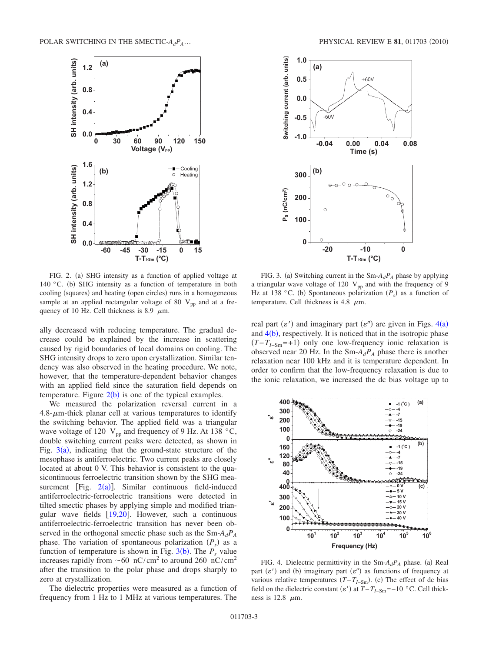<span id="page-2-0"></span>

FIG. 2. (a) SHG intensity as a function of applied voltage at 140 °C. (b) SHG intensity as a function of temperature in both cooling (squares) and heating (open circles) runs in a homogeneous sample at an applied rectangular voltage of 80  $V_{\text{pp}}$  and at a frequency of 10 Hz. Cell thickness is 8.9  $\mu$ m.

ally decreased with reducing temperature. The gradual decrease could be explained by the increase in scattering caused by rigid boundaries of local domains on cooling. The SHG intensity drops to zero upon crystallization. Similar tendency was also observed in the heating procedure. We note, however, that the temperature-dependent behavior changes with an applied field since the saturation field depends on temperature. Figure  $2(b)$  $2(b)$  is one of the typical examples.

We measured the polarization reversal current in a  $4.8 - \mu$ m-thick planar cell at various temperatures to identify the switching behavior. The applied field was a triangular wave voltage of 120  $V_{pp}$  and frequency of 9 Hz. At 138  $^{\circ}$ C, double switching current peaks were detected, as shown in Fig.  $3(a)$  $3(a)$ , indicating that the ground-state structure of the mesophase is antiferroelectric. Two current peaks are closely located at about 0 V. This behavior is consistent to the quasicontinuous ferroelectric transition shown by the SHG measurement [Fig.  $2(a)$  $2(a)$ ]. Similar continuous field-induced antiferroelectric-ferroelectric transitions were detected in tilted smectic phases by applying simple and modified triangular wave fields  $[19,20]$  $[19,20]$  $[19,20]$  $[19,20]$ . However, such a continuous antiferroelectric-ferroelectric transition has never been observed in the orthogonal smectic phase such as the Sm-*AdPA* phase. The variation of spontaneous polarization  $(P_s)$  as a function of temperature is shown in Fig.  $3(b)$  $3(b)$ . The  $P_s$  value increases rapidly from  $\sim 60 \text{ nC/cm}^2$  to around 260 nC/cm<sup>2</sup> after the transition to the polar phase and drops sharply to zero at crystallization.

The dielectric properties were measured as a function of frequency from 1 Hz to 1 MHz at various temperatures. The

<span id="page-2-1"></span>

FIG. 3. (a) Switching current in the  $Sm-A_dP_A$  phase by applying a triangular wave voltage of 120  $V_{pp}$  and with the frequency of 9 Hz at 138 °C. (b) Spontaneous polarization  $(P_s)$  as a function of temperature. Cell thickness is 4.8  $\mu$ m.

real part  $(\varepsilon')$  and imaginary part  $(\varepsilon'')$  are given in Figs. [4](#page-2-2)(a) and  $4(b)$  $4(b)$ , respectively. It is noticed that in the isotropic phase  $(T - T_{I-Sm} = +1)$  only one low-frequency ionic relaxation is observed near 20 Hz. In the  $Sm-A_dP_A$  phase there is another relaxation near 100 kHz and it is temperature dependent. In order to confirm that the low-frequency relaxation is due to the ionic relaxation, we increased the dc bias voltage up to

<span id="page-2-2"></span>

FIG. 4. Dielectric permittivity in the  $Sm-A_dP_A$  phase. (a) Real part  $(\varepsilon')$  and (b) imaginary part  $(\varepsilon'')$  as functions of frequency at various relative temperatures  $(T - T_{I-Sm})$ . (c) The effect of dc bias field on the dielectric constant  $(\varepsilon')$  at  $T - T_{I-Sm} = -10$  °C. Cell thickness is 12.8  $\mu$ m.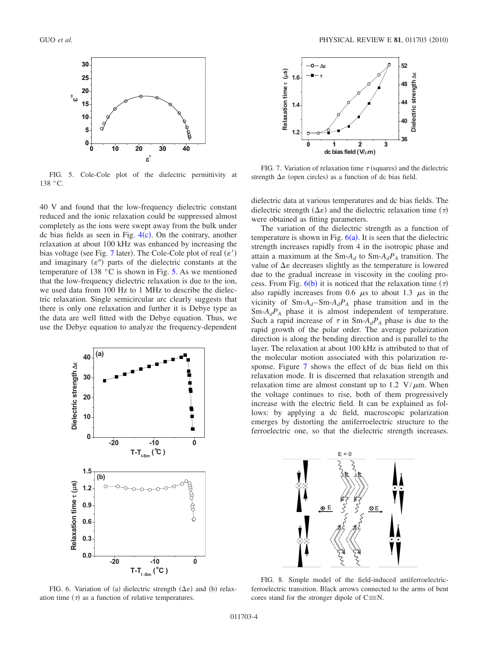<span id="page-3-1"></span>

FIG. 5. Cole-Cole plot of the dielectric permittivity at 138 °C.

40 V and found that the low-frequency dielectric constant reduced and the ionic relaxation could be suppressed almost completely as the ions were swept away from the bulk under dc bias fields as seen in Fig.  $4(c)$  $4(c)$ . On the contrary, another relaxation at about 100 kHz was enhanced by increasing the bias voltage (see Fig. [7](#page-3-0) later). The Cole-Cole plot of real  $(\varepsilon')$ and imaginary  $(e'')$  parts of the dielectric constants at the temperature of 138 °C is shown in Fig. [5.](#page-3-1) As we mentioned that the low-frequency dielectric relaxation is due to the ion, we used data from 100 Hz to 1 MHz to describe the dielectric relaxation. Single semicircular arc clearly suggests that there is only one relaxation and further it is Debye type as the data are well fitted with the Debye equation. Thus, we use the Debye equation to analyze the frequency-dependent

<span id="page-3-2"></span>

FIG. 6. Variation of (a) dielectric strength  $(\Delta \varepsilon)$  and (b) relaxation time  $(\tau)$  as a function of relative temperatures.

<span id="page-3-0"></span>

FIG. 7. Variation of relaxation time  $\tau$  (squares) and the dielectric strength  $\Delta \varepsilon$  (open circles) as a function of dc bias field.

dielectric data at various temperatures and dc bias fields. The dielectric strength  $(\Delta \varepsilon)$  and the dielectric relaxation time  $(\tau)$ were obtained as fitting parameters.

The variation of the dielectric strength as a function of temperature is shown in Fig.  $6(a)$  $6(a)$ . It is seen that the dielectric strength increases rapidly from 4 in the isotropic phase and attain a maximum at the Sm- $A_d$  to Sm- $A_dP_A$  transition. The value of  $\Delta \varepsilon$  decreases slightly as the temperature is lowered due to the gradual increase in viscosity in the cooling process. From Fig.  $6(b)$  $6(b)$  it is noticed that the relaxation time  $(7)$ also rapidly increases from 0.6  $\mu$ s to about 1.3  $\mu$ s in the vicinity of  $Sm-A_d-Sm-A_dP_A$  phase transition and in the  $Sm-A_dP_A$  phase it is almost independent of temperature. Such a rapid increase of  $\tau$  in Sm- $A_dP_A$  phase is due to the rapid growth of the polar order. The average polarization direction is along the bending direction and is parallel to the layer. The relaxation at about 100 kHz is attributed to that of the molecular motion associated with this polarization response. Figure [7](#page-3-0) shows the effect of dc bias field on this relaxation mode. It is discerned that relaxation strength and relaxation time are almost constant up to 1.2 V/ $\mu$ m. When the voltage continues to rise, both of them progressively increase with the electric field. It can be explained as follows: by applying a dc field, macroscopic polarization emerges by distorting the antiferroelectric structure to the ferroelectric one, so that the dielectric strength increases.

<span id="page-3-3"></span>

FIG. 8. Simple model of the field-induced antiferroelectricferroelectric transition. Black arrows connected to the arms of bent cores stand for the stronger dipole of  $C \equiv N$ .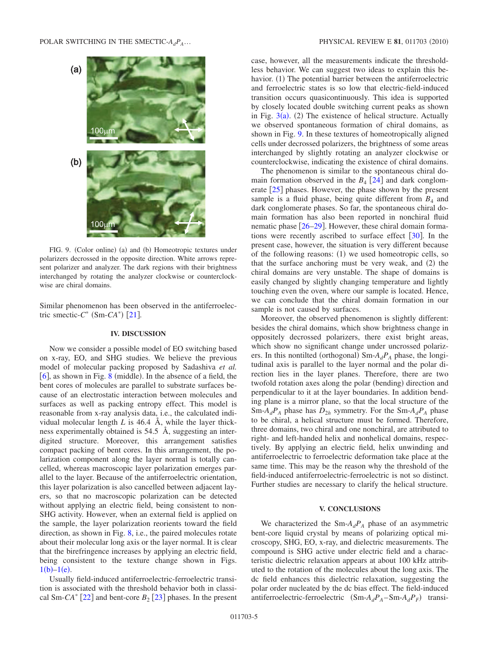<span id="page-4-0"></span>

FIG. 9. (Color online) (a) and (b) Homeotropic textures under polarizers decrossed in the opposite direction. White arrows represent polarizer and analyzer. The dark regions with their brightness interchanged by rotating the analyzer clockwise or counterclockwise are chiral domains.

Similar phenomenon has been observed in the antiferroelectric smectic- $C^*$  (Sm- $CA^*$ ) [[21](#page-5-16)].

### **IV. DISCUSSION**

Now we consider a possible model of EO switching based on x-ray, EO, and SHG studies. We believe the previous model of molecular packing proposed by Sadashiva *et al.*  $[6]$  $[6]$  $[6]$ , as shown in Fig. [8](#page-3-3) (middle). In the absence of a field, the bent cores of molecules are parallel to substrate surfaces because of an electrostatic interaction between molecules and surfaces as well as packing entropy effect. This model is reasonable from x-ray analysis data, i.e., the calculated individual molecular length  $L$  is 46.4 Å, while the layer thickness experimentally obtained is 54.5 Å, suggesting an interdigited structure. Moreover, this arrangement satisfies compact packing of bent cores. In this arrangement, the polarization component along the layer normal is totally cancelled, whereas macroscopic layer polarization emerges parallel to the layer. Because of the antiferroelectric orientation, this layer polarization is also cancelled between adjacent layers, so that no macroscopic polarization can be detected without applying an electric field, being consistent to non-SHG activity. However, when an external field is applied on the sample, the layer polarization reorients toward the field direction, as shown in Fig. [8,](#page-3-3) i.e., the paired molecules rotate about their molecular long axis or the layer normal. It is clear that the birefringence increases by applying an electric field, being consistent to the texture change shown in Figs.  $1(b)-1(e)$  $1(b)-1(e)$ .

Usually field-induced antiferroelectric-ferroelectric transition is associated with the threshold behavior both in classical Sm- $CA^*$  [[22](#page-5-18)] and bent-core  $B_2$  [[23](#page-5-19)] phases. In the present case, however, all the measurements indicate the thresholdless behavior. We can suggest two ideas to explain this behavior. (1) The potential barrier between the antiferroelectric and ferroelectric states is so low that electric-field-induced transition occurs quasicontinuously. This idea is supported by closely located double switching current peaks as shown in Fig.  $3(a)$  $3(a)$ . (2) The existence of helical structure. Actually we observed spontaneous formation of chiral domains, as shown in Fig. [9.](#page-4-0) In these textures of homeotropically aligned cells under decrossed polarizers, the brightness of some areas interchanged by slightly rotating an analyzer clockwise or counterclockwise, indicating the existence of chiral domains.

The phenomenon is similar to the spontaneous chiral domain formation observed in the  $B_4$  [[24](#page-5-20)] and dark conglomerate  $\lceil 25 \rceil$  $\lceil 25 \rceil$  $\lceil 25 \rceil$  phases. However, the phase shown by the present sample is a fluid phase, being quite different from  $B_4$  and dark conglomerate phases. So far, the spontaneous chiral domain formation has also been reported in nonchiral fluid nematic phase  $[26-29]$  $[26-29]$  $[26-29]$ . However, these chiral domain formations were recently ascribed to surface effect  $\lceil 30 \rceil$  $\lceil 30 \rceil$  $\lceil 30 \rceil$ . In the present case, however, the situation is very different because of the following reasons:  $(1)$  we used homeotropic cells, so that the surface anchoring must be very weak, and (2) the chiral domains are very unstable. The shape of domains is easily changed by slightly changing temperature and lightly touching even the oven, where our sample is located. Hence, we can conclude that the chiral domain formation in our sample is not caused by surfaces.

Moreover, the observed phenomenon is slightly different: besides the chiral domains, which show brightness change in oppositely decrossed polarizers, there exist bright areas, which show no significant change under uncrossed polarizers. In this nontilted (orthogonal)  $Sm-A_dP_A$  phase, the longitudinal axis is parallel to the layer normal and the polar direction lies in the layer planes. Therefore, there are two twofold rotation axes along the polar (bending) direction and perpendicular to it at the layer boundaries. In addition bending plane is a mirror plane, so that the local structure of the Sm- $A_dP_A$  phase has  $D_{2h}$  symmetry. For the Sm- $A_dP_A$  phase to be chiral, a helical structure must be formed. Therefore, three domains, two chiral and one nonchiral, are attributed to right- and left-handed helix and nonhelical domains, respectively. By applying an electric field, helix unwinding and antiferroelectric to ferroelectric deformation take place at the same time. This may be the reason why the threshold of the field-induced antiferroelectric-ferroelectric is not so distinct. Further studies are necessary to clarify the helical structure.

# **V. CONCLUSIONS**

We characterized the  $Sm-A_dP_A$  phase of an asymmetric bent-core liquid crystal by means of polarizing optical microscopy, SHG, EO, x-ray, and dielectric measurements. The compound is SHG active under electric field and a characteristic dielectric relaxation appears at about 100 kHz attributed to the rotation of the molecules about the long axis. The dc field enhances this dielectric relaxation, suggesting the polar order nucleated by the dc bias effect. The field-induced antiferroelectric-ferroelectric  $(Sm-A_dP_A-Sm-A_dP_F)$  transi-